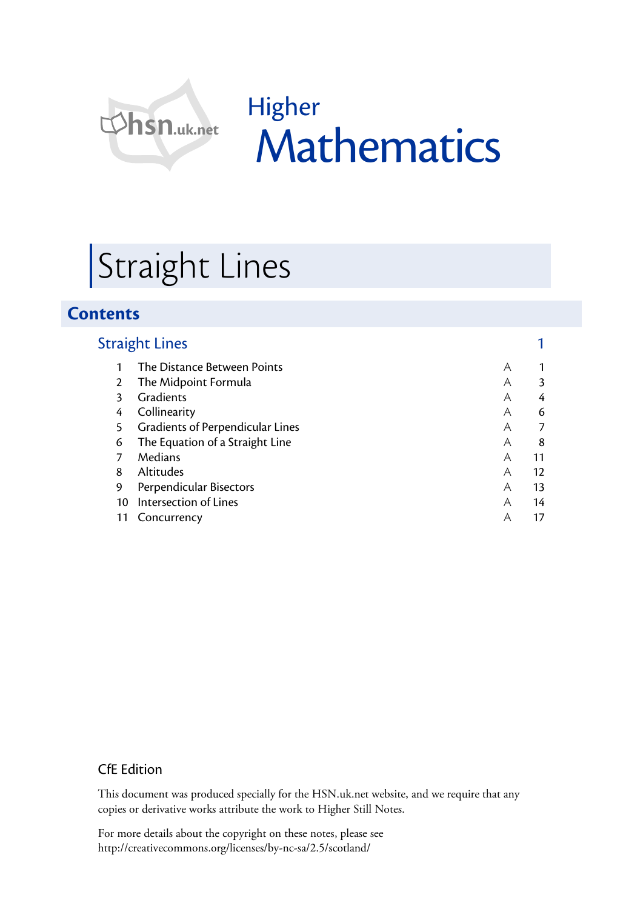

Higher **Mathematics** 

# Straight Lines

# **Contents**

| <b>Straight Lines</b> |                                  |   |    |
|-----------------------|----------------------------------|---|----|
|                       | The Distance Between Points      | A |    |
| $\mathcal{P}$         | The Midpoint Formula             | A | 3  |
| 3                     | Gradients                        | A | 4  |
| 4                     | Collinearity                     | A | 6  |
| 5                     | Gradients of Perpendicular Lines | A | 7  |
| 6                     | The Equation of a Straight Line  | A | 8  |
|                       | Medians                          | A | 11 |
| 8                     | Altitudes                        | A | 12 |
| 9                     | Perpendicular Bisectors          | A | 13 |
| 10                    | Intersection of Lines            | A | 14 |
|                       | Concurrency                      | Α | 17 |

## CfE Edition

This document was produced specially for the HSN.uk.net website, and we require that any copies or derivative works attribute the work to Higher Still Notes.

For more details about the copyright on these notes, please see http://creativecommons.org/licenses/by-nc-sa/2.5/scotland/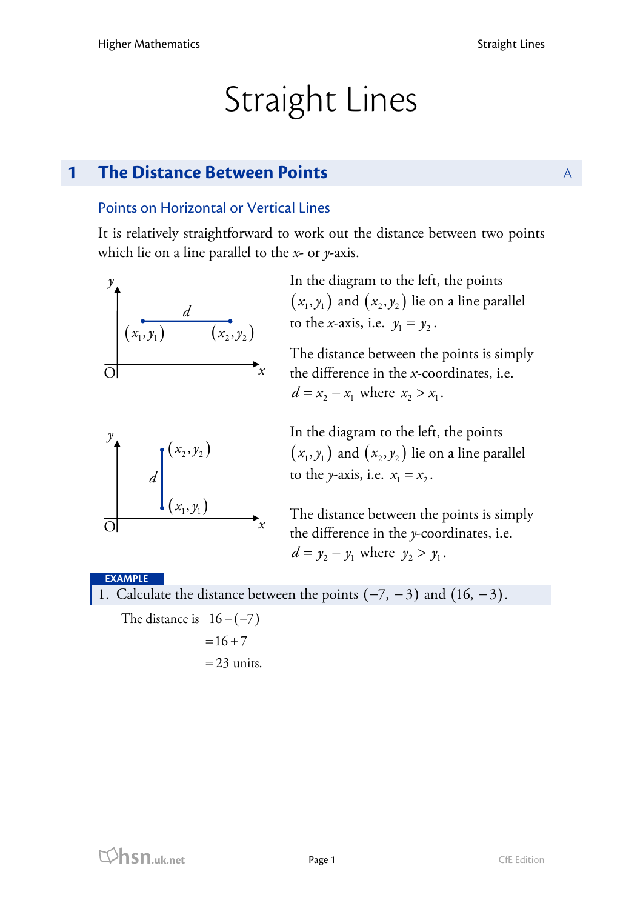# Straight Lines

# **1 The Distance Between Points** And Apple **A**

# Points on Horizontal or Vertical Lines

It is relatively straightforward to work out the distance between two points which lie on a line parallel to the *x*- or *y*-axis.

$$
\begin{array}{c}\ny \\
\hline\n\left(x_1, y_1\right) & \left(x_2, y_2\right) \\
\hline\n0 & x\n\end{array}
$$

In the diagram to the left, the points  $(x_1, y_1)$  and  $(x_2, y_2)$  lie on a line parallel to the *x*-axis, i.e.  $y_1 = y_2$ .

The distance between the points is simply the difference in the *x*-coordinates, i.e.  $d = x_2 - x_1$  where  $x_2 > x_1$ .

In the diagram to the left, the points  $(x_1, y_1)$  and  $(x_2, y_2)$  lie on a line parallel to the *y*-axis, i.e.  $x_1 = x_2$ .

The distance between the points is simply the difference in the *y*-coordinates, i.e.  $d = y_2 - y_1$  where  $y_2 > y_1$ .

## **EXAMPLE**

O

1. Calculate the distance between the points  $(-7, -3)$  and  $(16, -3)$ .

*x*

The distance is  $16 - (-7)$ 

 $(x_1, y_1)$ 

 $\int_{1}^{y}$   $(x_2, y_2)$ 

*d*

 $= 16 + 7$  $= 23$  units.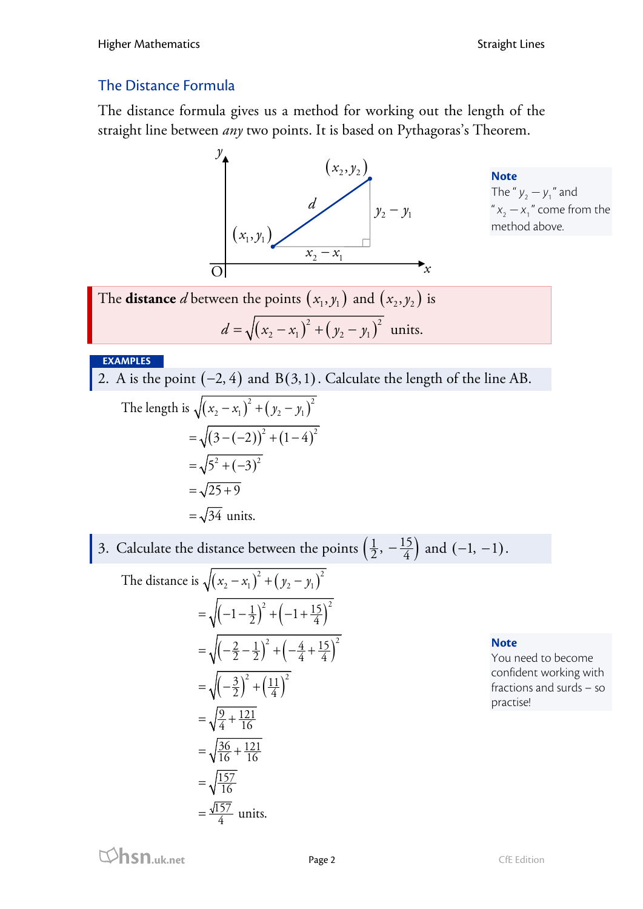# The Distance Formula

The distance formula gives us a method for working out the length of the straight line between *any* two points. It is based on Pythagoras's Theorem.



**Note** The " $y_2 - y_1$ " and " $x_2 - x_1$ " come from the method above.

The **distance** *d* between the points  $(x_1, y_1)$  and  $(x_2, y_2)$  is  $d = \sqrt{(x_2 - x_1)^2 + (y_2 - y_1)^2}$  units.

### **EXAMPLES**

2. A is the point  $(-2, 4)$  and  $B(3, 1)$ . Calculate the length of the line AB.

The length is 
$$
\sqrt{(x_2 - x_1)^2 + (y_2 - y_1)^2}
$$
  
=  $\sqrt{(3 - (-2))^2 + (1 - 4)^2}$   
=  $\sqrt{5^2 + (-3)^2}$   
=  $\sqrt{25 + 9}$   
=  $\sqrt{34}$  units.

3. Calculate the distance between the points  $\left(\frac{1}{2}, -\frac{15}{4}\right)$  and  $(-1, -1)$ .

The distance is 
$$
\sqrt{(x_2 - x_1)^2 + (y_2 - y_1)^2}
$$
  
\n
$$
= \sqrt{(-1 - \frac{1}{2})^2 + (-1 + \frac{15}{4})^2}
$$
\n
$$
= \sqrt{(-\frac{2}{2} - \frac{1}{2})^2 + (-\frac{4}{4} + \frac{15}{4})^2}
$$
\n
$$
= \sqrt{(-\frac{3}{2})^2 + (\frac{11}{4})^2}
$$
\n
$$
= \sqrt{\frac{9}{4} + \frac{121}{16}}
$$
\n
$$
= \sqrt{\frac{36}{16} + \frac{121}{16}}
$$
\n
$$
= \sqrt{\frac{157}{16}}
$$
\n
$$
= \frac{\sqrt{157}}{4} \text{ units.}
$$

### **Note**

You need to become confident working with fractions and surds – so practise!

**hsn.uk.net** Page 2 CfE Edition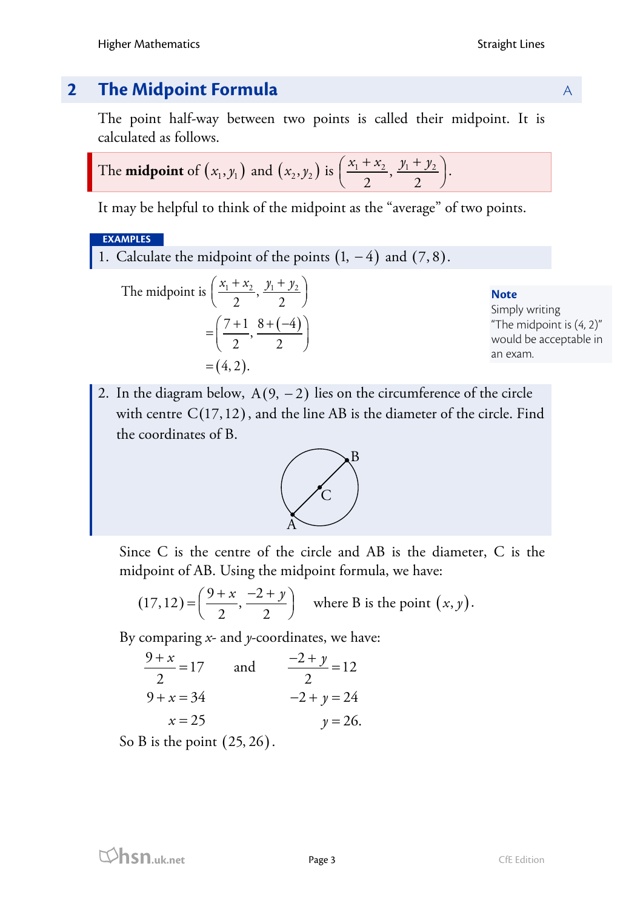# **2 The Midpoint Formula** A

The point half-way between two points is called their midpoint. It is calculated as follows.

The **midpoint** of 
$$
(x_1, y_1)
$$
 and  $(x_2, y_2)$  is  $\left(\frac{x_1 + x_2}{2}, \frac{y_1 + y_2}{2}\right)$ .

It may be helpful to think of the midpoint as the "average" of two points.

## **EXAMPLES**

1. Calculate the midpoint of the points  $(1, -4)$  and  $(7, 8)$ .

The midpoint is 
$$
\left(\frac{x_1 + x_2}{2}, \frac{y_1 + y_2}{2}\right)
$$
  
=  $\left(\frac{7 + 1}{2}, \frac{8 + (-4)}{2}\right)$   
=  $(4, 2)$ .

### **Note**

Simply writing "The midpoint is (4, 2)" would be acceptable in an exam.

2. In the diagram below,  $A(9, -2)$  lies on the circumference of the circle with centre  $C(17,12)$ , and the line AB is the diameter of the circle. Find the coordinates of B.



Since C is the centre of the circle and AB is the diameter, C is the midpoint of AB. Using the midpoint formula, we have:

$$
(17, 12) = \left(\frac{9+x}{2}, \frac{-2+y}{2}\right)
$$
 where B is the point  $(x, y)$ .

By comparing *x*- and *y*-coordinates, we have:

$$
\frac{9+x}{2} = 17 \qquad \text{and} \qquad \frac{-2+y}{2} = 12
$$
  
 
$$
9+x = 34 \qquad \qquad -2+y = 24
$$

$$
x = 25 \qquad \qquad y = 26.
$$

So B is the point  $(25, 26)$ .

**hsn.uk.net** Page 3 CfE Edition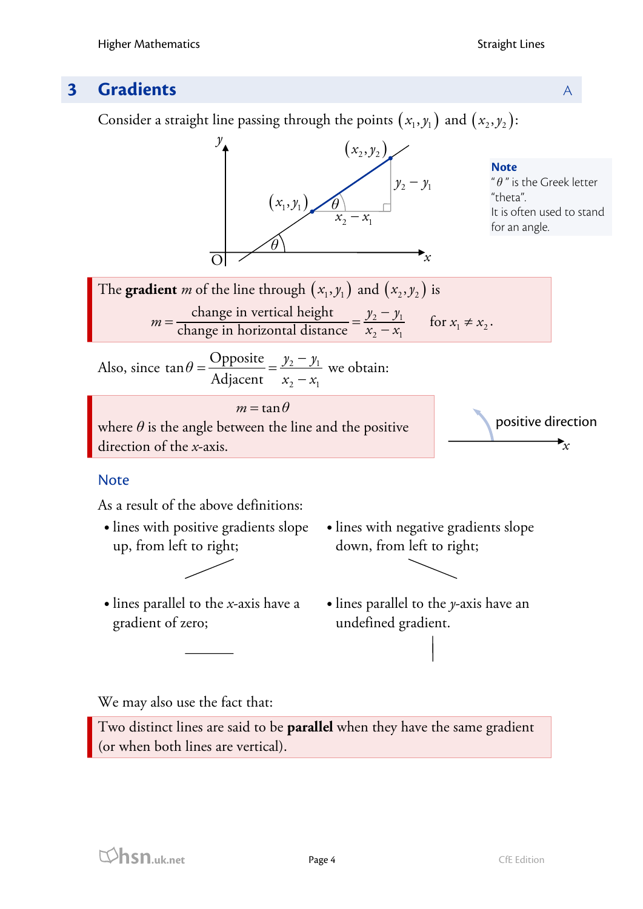# **3 Gradients** A

Consider a straight line passing through the points  $(x_1, y_1)$  and  $(x_2, y_2)$ :



 lines with positive gradients slope up, from left to right;



- lines parallel to the *x*-axis have a gradient of zero;
- lines with negative gradients slope down, from left to right;
- lines parallel to the *y*-axis have an undefined gradient.

We may also use the fact that:

Two distinct lines are said to be **parallel** when they have the same gradient (or when both lines are vertical).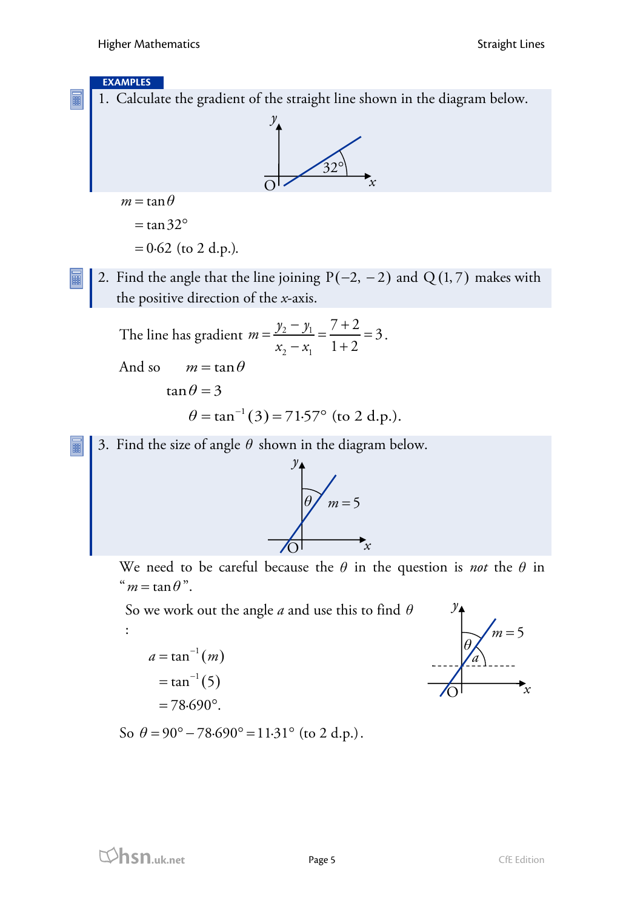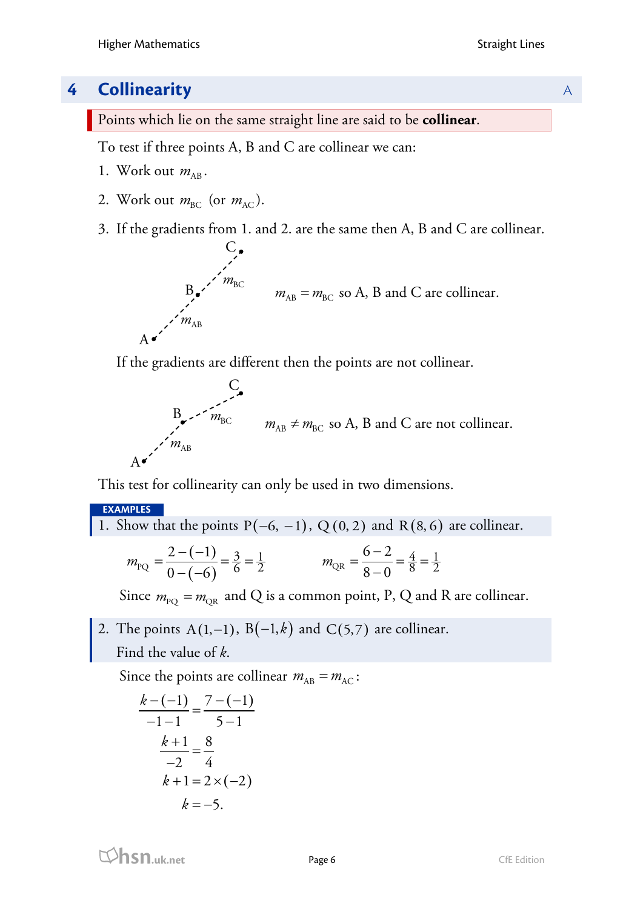# **4 Collinearity** A

Points which lie on the same straight line are said to be **collinear**.

To test if three points A, B and C are collinear we can:

- 1. Work out  $m_{AB}$ .
- 2. Work out  $m_{BC}$  (or  $m_{AC}$ ).
- 3. If the gradients from 1. and 2. are the same then A, B and C are collinear.



If the gradients are different then the points are not collinear.

$$
B_{\bullet} = m_{\text{BC}}
$$
  
\n
$$
m_{\text{AB}} = m_{\text{BC}} \text{ so } A, B \text{ and } C \text{ are not collinear.}
$$
  
\n
$$
A \bullet
$$

This test for collinearity can only be used in two dimensions.

## **EXAMPLES**

1. Show that the points 
$$
P(-6, -1)
$$
,  $Q(0, 2)$  and  $R(8, 6)$  are collinear.

$$
m_{\text{PQ}} = \frac{2 - (-1)}{0 - (-6)} = \frac{3}{6} = \frac{1}{2} \qquad m_{\text{QR}} = \frac{6 - 2}{8 - 0} = \frac{4}{8} = \frac{1}{2}
$$

Since  $m_{\text{PO}} = m_{\text{OR}}$  and Q is a common point, P, Q and R are collinear.

2. The points  $A(1, -1)$ ,  $B(-1, k)$  and  $C(5, 7)$  are collinear. Find the value of *k*.

Since the points are collinear  $m_{AB} = m_{AC}$ :

$$
\frac{k-(-1)}{-1-1} = \frac{7-(-1)}{5-1}
$$

$$
\frac{k+1}{-2} = \frac{8}{4}
$$

$$
k+1 = 2 \times (-2)
$$

$$
k = -5.
$$

**hsn.uk.net** Page 6 Page 6 CfE Edition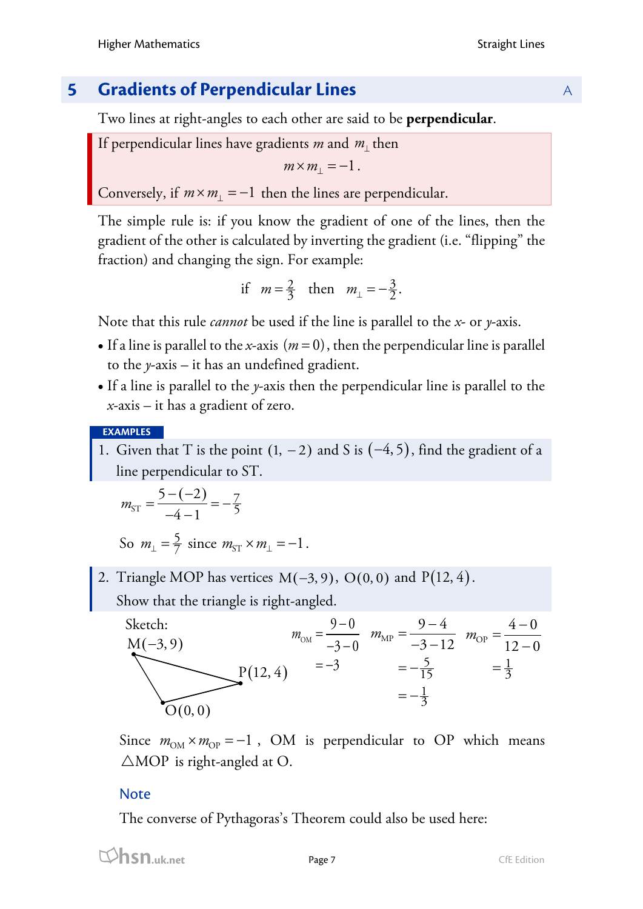# **5 Gradients of Perpendicular Lines** A

Two lines at right-angles to each other are said to be **perpendicular**.

If perpendicular lines have gradients *m* and *m*<sup>⊥</sup> then

$$
m \times m_{\perp} = -1.
$$

Conversely, if  $m \times m_{\perp} = -1$  then the lines are perpendicular.

The simple rule is: if you know the gradient of one of the lines, then the gradient of the other is calculated by inverting the gradient (i.e. "flipping" the fraction) and changing the sign. For example:

if 
$$
m = \frac{2}{3}
$$
 then  $m_{\perp} = -\frac{3}{2}$ .

Note that this rule *cannot* be used if the line is parallel to the *x*- or *y*-axis.

- If a line is parallel to the *x*-axis  $(m = 0)$ , then the perpendicular line is parallel to the *y*-axis – it has an undefined gradient.
- If a line is parallel to the *y*-axis then the perpendicular line is parallel to the *x*-axis – it has a gradient of zero.

**EXAMPLES**

1. Given that T is the point  $(1, -2)$  and S is  $(-4, 5)$ , find the gradient of a line perpendicular to ST.

$$
m_{\rm ST} = \frac{5 - (-2)}{-4 - 1} = -\frac{7}{5}
$$

So  $m_{\perp} = \frac{5}{7}$  since  $m_{ST} \times m_{\perp} = -1$ .

2. Triangle MOP has vertices  $M(-3, 9)$ , O(0, 0) and P(12, 4). Show that the triangle is right-angled.



Since  $m_{OM} \times m_{OP} = -1$ , OM is perpendicular to OP which means  $\triangle MOP$  is right-angled at O.

# **Note**

The converse of Pythagoras's Theorem could also be used here: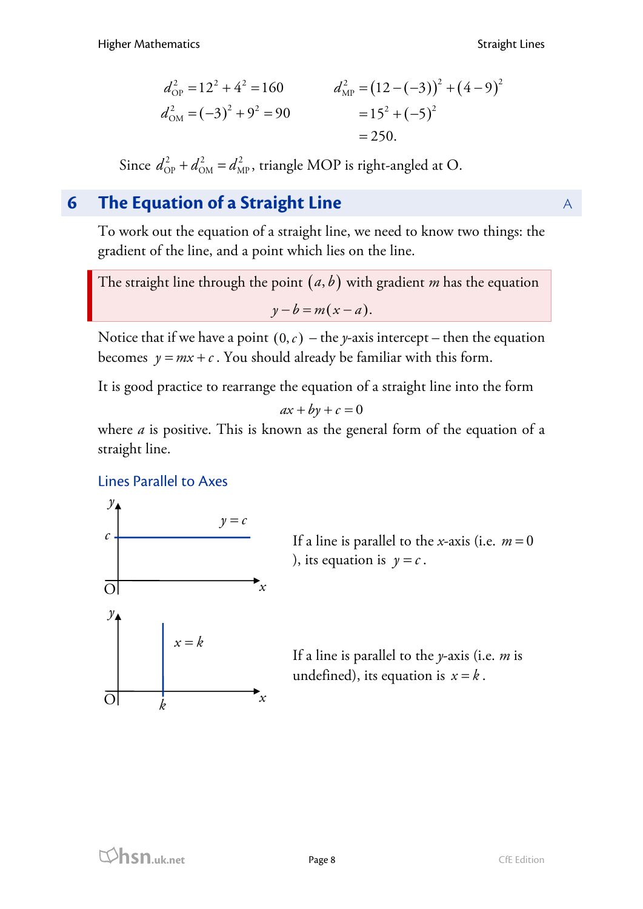$$
d_{\text{OP}}^2 = 12^2 + 4^2 = 160
$$
  
\n
$$
d_{\text{MP}}^2 = (12 - (-3))^2 + (4 - 9)^2
$$
  
\n
$$
d_{\text{OM}}^2 = (-3)^2 + 9^2 = 90
$$
  
\n
$$
= 15^2 + (-5)^2
$$
  
\n
$$
= 250.
$$

Since  $d_{\text{OP}}^2 + d_{\text{OM}}^2 = d_{\text{MP}}^2$ , triangle MOP is right-angled at O.

# **6 The Equation of a Straight Line** A

To work out the equation of a straight line, we need to know two things: the gradient of the line, and a point which lies on the line.

The straight line through the point  $(a, b)$  with gradient *m* has the equation  $y - b = m(x - a)$ .

Notice that if we have a point  $(0, c)$  – the *y*-axis intercept – then the equation becomes  $y = mx + c$ . You should already be familiar with this form.

It is good practice to rearrange the equation of a straight line into the form

$$
ax + by + c = 0
$$

where *a* is positive. This is known as the general form of the equation of a straight line.

## Lines Parallel to Axes



If a line is parallel to the *x*-axis (i.e.  $m = 0$ ), its equation is  $y = c$ .

If a line is parallel to the *y*-axis (i.e. *m* is undefined), its equation is  $x = k$ .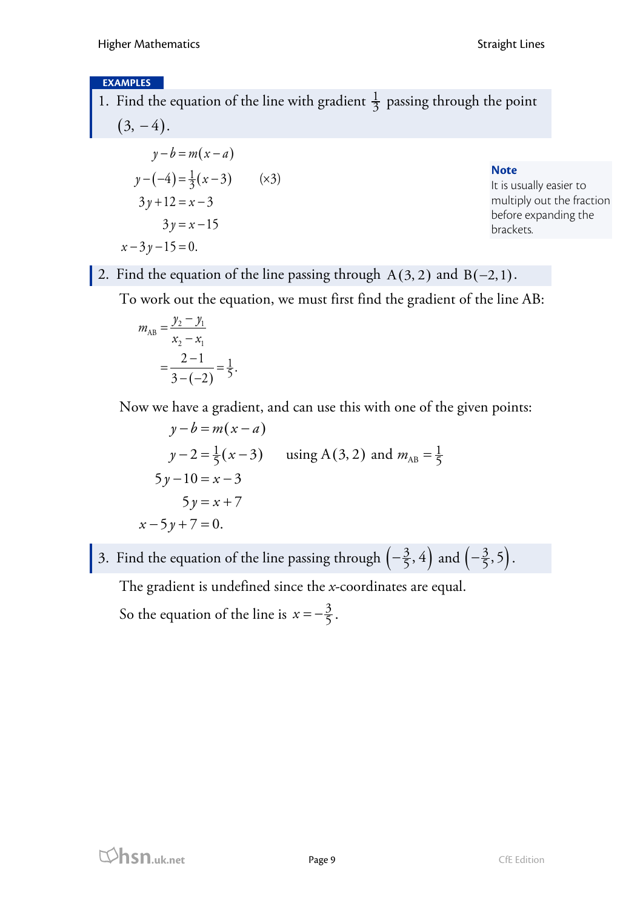### **EXAMPLES**

1. Find the equation of the line with gradient  $\frac{1}{3}$  passing through the point  $(3, -4)$ .

$$
y-b=m(x-a)
$$
  
y-(-4) =  $\frac{1}{3}$ (x-3) (x3)  
3y+12=x-3  
3y=x-15  
x-3y-15=0.

**Note**

It is usually easier to multiply out the fraction before expanding the brackets.

2. Find the equation of the line passing through  $A(3, 2)$  and  $B(-2,1)$ .

To work out the equation, we must first find the gradient of the line AB:

$$
m_{AB} = \frac{y_2 - y_1}{x_2 - x_1}
$$
  
= 
$$
\frac{2 - 1}{3 - (-2)} = \frac{1}{5}.
$$

Now we have a gradient, and can use this with one of the given points:

$$
y-b=m(x-a)
$$
  
y-2= $\frac{1}{5}$ (x-3) using A(3,2) and  $m_{AB} = \frac{1}{5}$   
5y-10=x-3  
5y=x+7  
-5y+7=0.

3. Find the equation of the line passing through  $\left(-\frac{3}{5}, 4\right)$  and  $\left(-\frac{3}{5}, 5\right)$ .

The gradient is undefined since the *x*-coordinates are equal.

So the equation of the line is  $x = -\frac{3}{5}$ .

 $\mathcal{X}$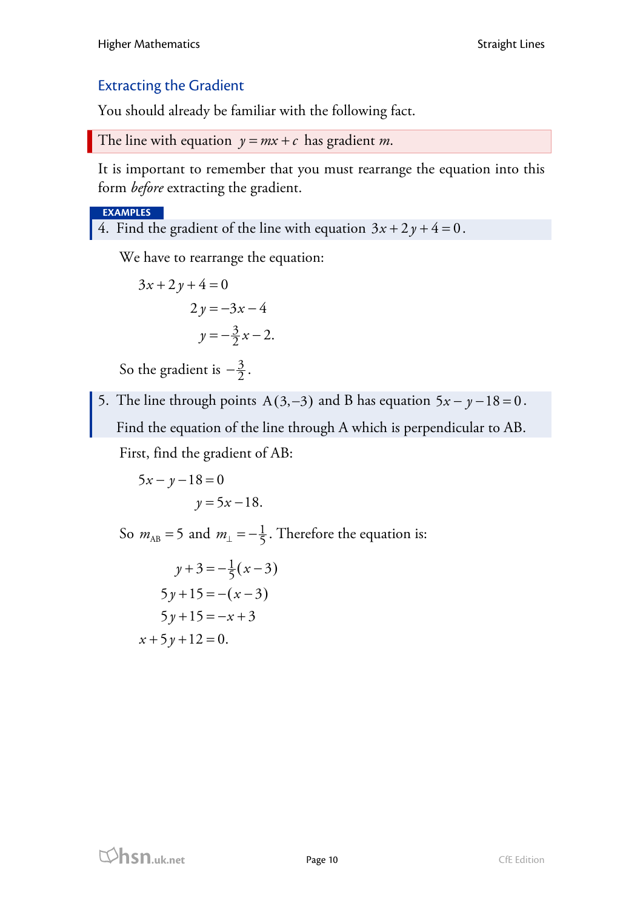# Extracting the Gradient

You should already be familiar with the following fact.

```
The line with equation y = mx + c has gradient m.
```
It is important to remember that you must rearrange the equation into this form *before* extracting the gradient.

### **EXAMPLES**

4. Find the gradient of the line with equation  $3x + 2y + 4 = 0$ .

We have to rearrange the equation:

$$
3x + 2y + 4 = 0
$$
  

$$
2y = -3x - 4
$$
  

$$
y = -\frac{3}{2}x - 2.
$$

So the gradient is  $-\frac{3}{2}$ .

5. The line through points A(3, -3) and B has equation  $5x - y - 18 = 0$ . Find the equation of the line through A which is perpendicular to AB.

First, find the gradient of AB:

$$
5x - y - 18 = 0
$$

$$
y = 5x - 18.
$$

So  $m_{AB} = 5$  and  $m_{\perp} = -\frac{1}{5}$ . Therefore the equation is:

$$
y+3 = -\frac{1}{5}(x-3)
$$
  
\n
$$
5y+15 = -(x-3)
$$
  
\n
$$
5y+15 = -x+3
$$
  
\n
$$
x+5y+12 = 0.
$$

**html**<br> **hsn.uk.net** Page 10 Page 10 CfE Edition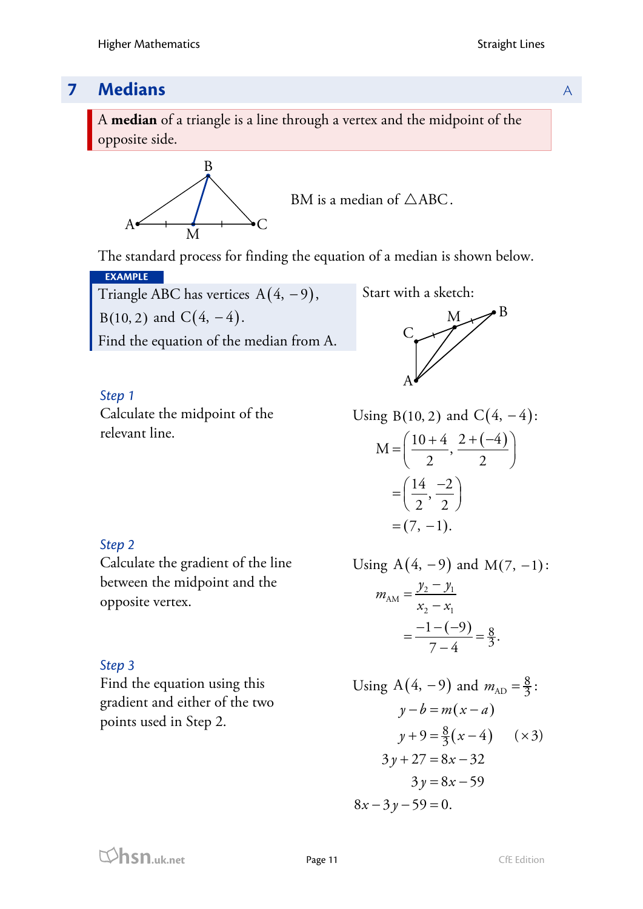# **7 Medians** A

A **median** of a triangle is a line through a vertex and the midpoint of the opposite side.



BM is a median of  $\triangle$ ABC.

The standard process for finding the equation of a median is shown below.

**EXAMPLE** Triangle ABC has vertices  $A(4, -9)$ , B(10, 2) and  $C(4, -4)$ . Find the equation of the median from A.

Start with a sketch:



*Step 1* Calculate the midpoint of the relevant line.

Using B(10, 2) and C(4, -4):  
\n
$$
M = \left(\frac{10+4}{2}, \frac{2+(-4)}{2}\right)
$$
\n
$$
= \left(\frac{14}{2}, \frac{-2}{2}\right)
$$
\n
$$
= (7, -1).
$$

## *Step 2*

Calculate the gradient of the line between the midpoint and the opposite vertex.

*Step 3*

Find the equation using this gradient and either of the two points used in Step 2.

Using 
$$
A(4, -9)
$$
 and  $M(7, -1)$ :

$$
m_{AM} = \frac{y_2 - y_1}{x_2 - x_1}
$$
  
= 
$$
\frac{-1 - (-9)}{7 - 4} = \frac{8}{3}.
$$

Using A(4, -9) and 
$$
m_{AD} = \frac{8}{3}
$$
:  
\n $y - b = m(x - a)$   
\n $y + 9 = \frac{8}{3}(x - 4)$  (×3)  
\n $3y + 27 = 8x - 32$   
\n $3y = 8x - 59$   
\n $8x - 3y - 59 = 0$ .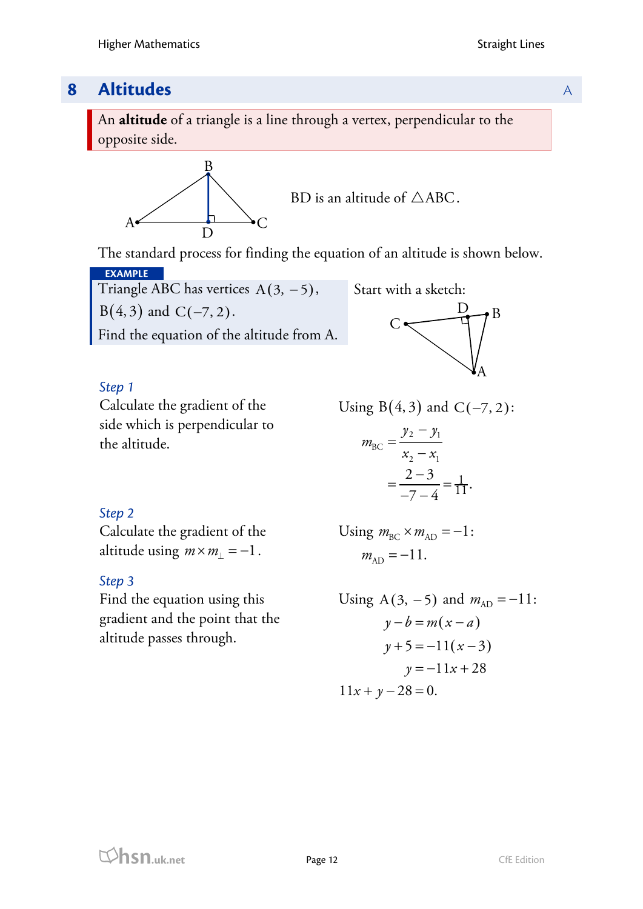# **8 Altitudes** A

An **altitude** of a triangle is a line through a vertex, perpendicular to the opposite side.



BD is an altitude of  $\triangle ABC$ .

The standard process for finding the equation of an altitude is shown below.

**EXAMPLE** Triangle ABC has vertices  $A(3, -5)$ ,  $B(4, 3)$  and  $C(-7, 2)$ . Find the equation of the altitude from A.





# *Step 1*

Calculate the gradient of the side which is perpendicular to the altitude.

Using B 4, 3 ( ) and C 7, 2 (− ):

$$
m_{\text{BC}} = \frac{y_2 - y_1}{x_2 - x_1} = \frac{2 - 3}{-7 - 4} = \frac{1}{11}.
$$

## *Step 2*

Calculate the gradient of the altitude using  $m \times m_1 = -1$ .

## *Step 3*

Find the equation using this gradient and the point that the altitude passes through.

Using 
$$
m_{BC} \times m_{AD} = -1
$$
:  
\n $m_{AD} = -11$ .

Using A(3, -5) and 
$$
m_{AD} = -11
$$
:  
\n $y - b = m(x - a)$   
\n $y + 5 = -11(x - 3)$   
\n $y = -11x + 28$   
\n $11x + y - 28 = 0$ .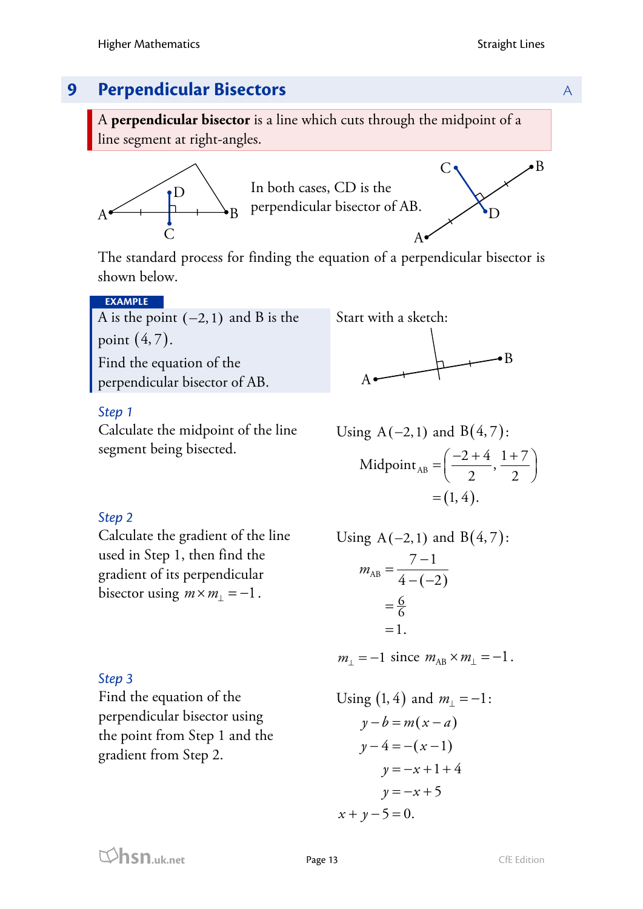

A **perpendicular bisector** is a line which cuts through the midpoint of a line segment at right-angles.



The standard process for finding the equation of a perpendicular bisector is shown below.

### **EXAMPLE**

A is the point  $(-2,1)$  and B is the point  $(4, 7)$ . Find the equation of the

perpendicular bisector of AB.

### *Step 1*

Calculate the midpoint of the line segment being bisected.



Using A(-2, 1) and B(4, 7):  
\nMidpoint<sub>AB</sub> = 
$$
\left(\frac{-2+4}{2}, \frac{1+7}{2}\right)
$$
  
\n= (1, 4).

## *Step 2*

*Step 3*

Calculate the gradient of the line used in Step 1, then find the gradient of its perpendicular bisector using  $m \times m_1 = -1$ .

Find the equation of the

gradient from Step 2.

perpendicular bisector using the point from Step 1 and the

Using A(-2,1) and B(4,7):  
\n
$$
m_{AB} = \frac{7-1}{4-(-2)}
$$
\n
$$
= \frac{6}{6}
$$
\n
$$
= 1.
$$

 $m_1 = -1$  since  $m_{AB} \times m_1 = -1$ .

Using (1, 4) and 
$$
m_{\perp} = -1
$$
:  
\n $y - b = m(x - a)$   
\n $y - 4 = -(x - 1)$   
\n $y = -x + 1 + 4$   
\n $y = -x + 5$   
\n $x + y - 5 = 0$ .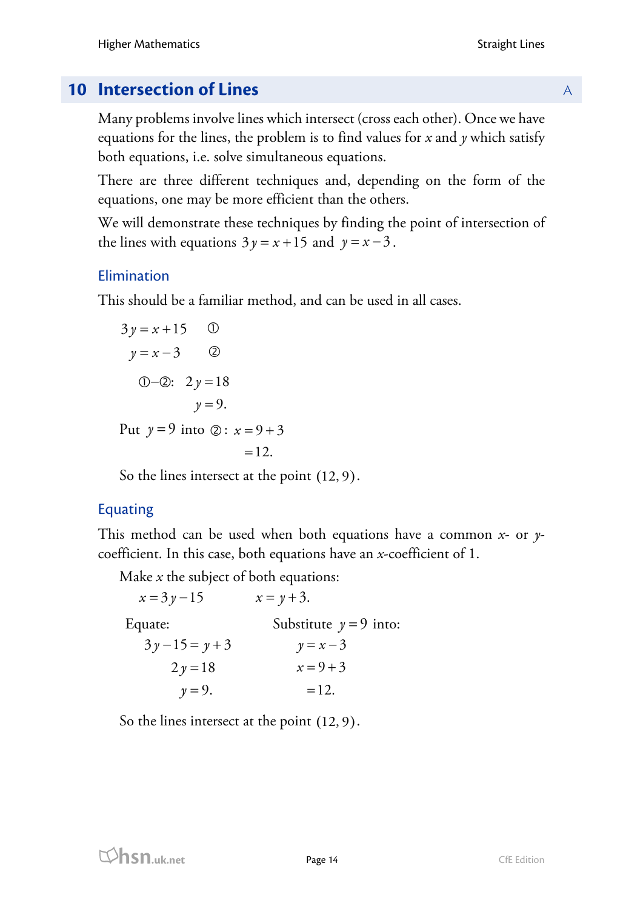# **10 Intersection of Lines** A

Many problems involve lines which intersect (cross each other). Once we have equations for the lines, the problem is to find values for *x* and *y* which satisfy both equations, i.e. solve simultaneous equations.

There are three different techniques and, depending on the form of the equations, one may be more efficient than the others.

We will demonstrate these techniques by finding the point of intersection of the lines with equations  $3y = x + 15$  and  $y = x - 3$ .

# Elimination

This should be a familiar method, and can be used in all cases.

3 15 3 *y x y x* = + = − : 2 18 9. *y y* − = = Put *y* = 9 into : 9 3 12. *x* = + =

So the lines intersect at the point (12, 9).

# Equating

This method can be used when both equations have a common *x*- or *y*coefficient. In this case, both equations have an *x*-coefficient of 1.

Make *x* the subject of both equations:

 $x = 3y - 15$   $x = y + 3.$ Equate:  $3y-15 = y+3$  $2y=18$  $y = 9$ . Substitute  $y = 9$  into:  $y = x - 3$  $x = 9 + 3$  $=12.$ 

So the lines intersect at the point (12, 9).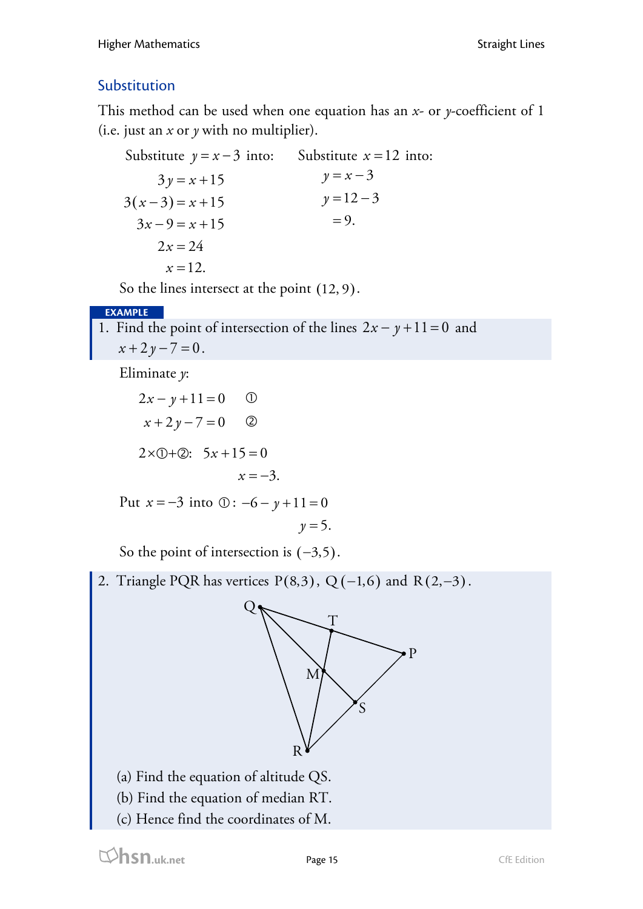# Substitution

This method can be used when one equation has an *x-* or *y*-coefficient of 1 (i.e. just an *x* or *y* with no multiplier).

Substitute  $y = x - 3$  into:  $3(x-3)=x+15$  $3y = x + 15$  $3x - 9 = x + 15$  $2x = 24$  $x = 12.$ Substitute  $x = 12$  into:  $y = x - 3$  $y = 12 - 3$  $= 9.$ 

So the lines intersect at the point (12, 9).

## **EXAMPLE**

1. Find the point of intersection of the lines  $2x - y + 11 = 0$  and  $x + 2y - 7 = 0$ .

Eliminate *y*:

$$
2x - y + 11 = 0 \t\t 0
$$
  

$$
x + 2y - 7 = 0 \t\t 2
$$
  

$$
2 \times 0 + 2: 5x + 15 = 0
$$
  

$$
x = -3.
$$

Put  $x = -3$  into  $\circled{0}$ :  $-6 - y + 11 = 0$ 

$$
y=5.
$$

So the point of intersection is  $(-3,5)$ .

2. Triangle PQR has vertices  $P(8,3)$ , Q (-1,6) and R(2,-3).



- (a) Find the equation of altitude QS.
- (b) Find the equation of median RT.
- (c) Hence find the coordinates of M.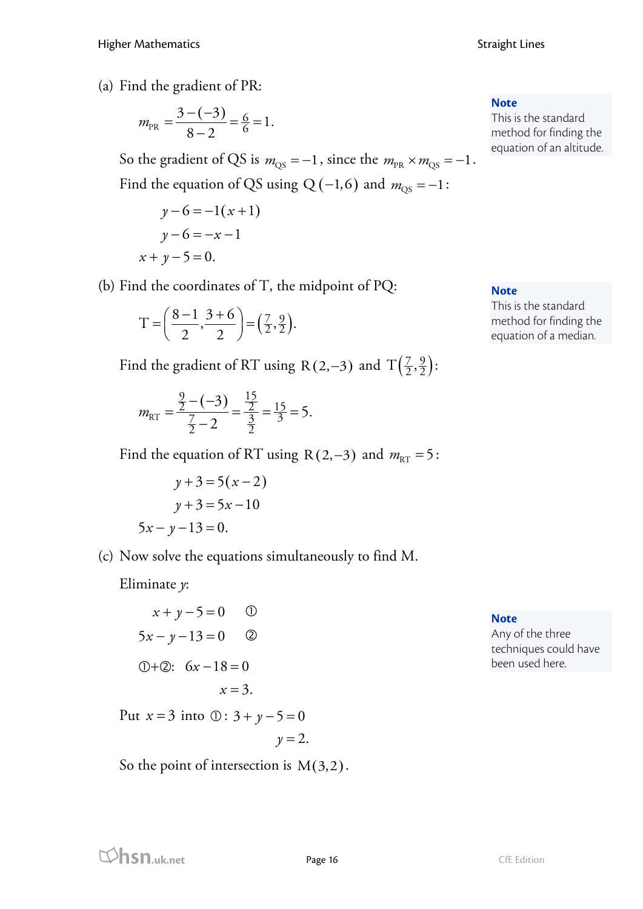(a) Find the gradient of PR:

$$
m_{PR} = \frac{3 - (-3)}{8 - 2} = \frac{6}{6} = 1.
$$

So the gradient of QS is  $m_{\text{QS}} = -1$ , since the  $m_{\text{PR}} \times m_{\text{QS}} = -1$ . Find the equation of QS using Q (−1,6) and  $m_{\text{QS}} = -1$ :

$$
y-6 = -1(x+1)
$$
  
y-6 = -x-1  
x+y-5=0.

(b) Find the coordinates of T, the midpoint of PQ:

$$
T = \left(\frac{8-1}{2}, \frac{3+6}{2}\right) = \left(\frac{7}{2}, \frac{9}{2}\right).
$$

Find the gradient of RT using R(2,-3) and  $T(\frac{7}{2}, \frac{9}{2})$ :

$$
m_{\text{RT}} = \frac{\frac{9}{2} - (-3)}{\frac{7}{2} - 2} = \frac{\frac{15}{2}}{\frac{3}{2}} = \frac{15}{3} = 5.
$$

Find the equation of RT using R(2,-3) and  $m_{\text{RT}} = 5$ :

$$
y+3=5(x-2)
$$

$$
y+3=5x-10
$$

$$
5x-y-13=0.
$$

(c) Now solve the equations simultaneously to find M.

Eliminate *y*:

$$
x + y - 5 = 0 \t\t 0
$$
  
5x - y - 13 = 0 2  
0+2: 6x - 18 = 0  
 $x = 3$ .

Put  $x = 3$  into  $\circled{0}$ :  $3 + y - 5 = 0$ 

 $y = 2.$ 

So the point of intersection is  $M(3,2)$ .

**Note**

This is the standard method for finding the equation of an altitude.

**Note**

This is the standard method for finding the equation of a median.

**Note**

Any of the three techniques could have been used here.